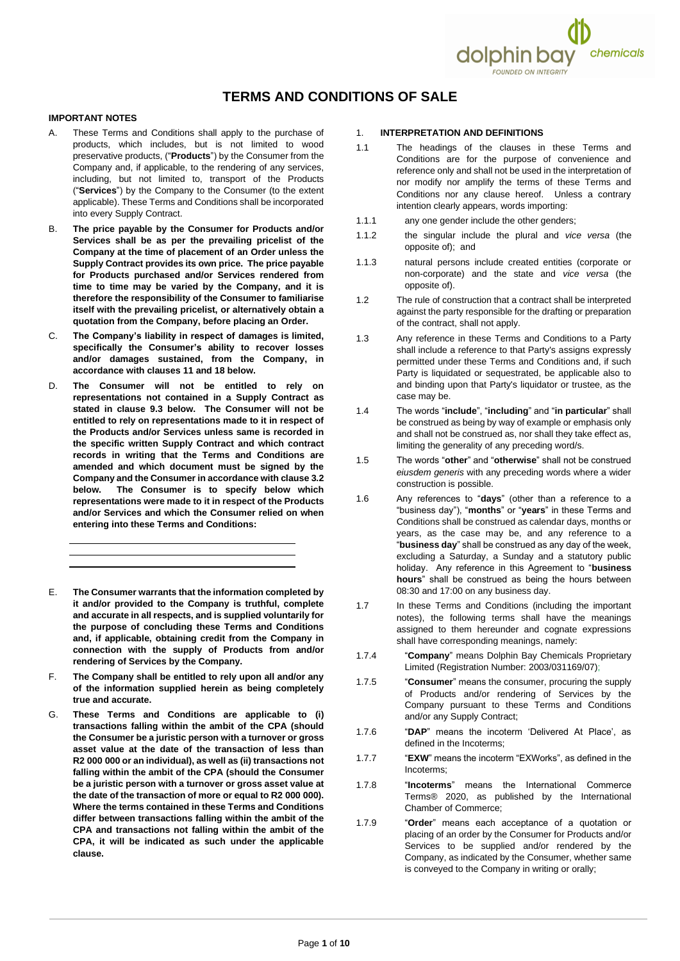

# **TERMS AND CONDITIONS OF SALE**

## **IMPORTANT NOTES**

- A. These Terms and Conditions shall apply to the purchase of products, which includes, but is not limited to wood preservative products, ("**Products**") by the Consumer from the Company and, if applicable, to the rendering of any services, including, but not limited to, transport of the Products ("**Services**") by the Company to the Consumer (to the extent applicable). These Terms and Conditions shall be incorporated into every Supply Contract.
- B. **The price payable by the Consumer for Products and/or Services shall be as per the prevailing pricelist of the Company at the time of placement of an Order unless the Supply Contract provides its own price. The price payable for Products purchased and/or Services rendered from time to time may be varied by the Company, and it is therefore the responsibility of the Consumer to familiarise itself with the prevailing pricelist, or alternatively obtain a quotation from the Company, before placing an Order.**
- C. **The Company's liability in respect of damages is limited, specifically the Consumer's ability to recover losses and/or damages sustained, from the Company, in accordance with clause[s 11](#page-3-0) and [18](#page-6-0) below.**
- D. **The Consumer will not be entitled to rely on representations not contained in a Supply Contract as stated in clause [9.3](#page-3-1) below. The Consumer will not be entitled to rely on representations made to it in respect of the Products and/or Services unless same is recorded in the specific written Supply Contract and which contract records in writing that the Terms and Conditions are amended and which document must be signed by the Company and the Consumer in accordance with claus[e 3.2](#page-1-0) below. The Consumer is to specify below which representations were made to it in respect of the Products and/or Services and which the Consumer relied on when entering into these Terms and Conditions:**
- E. **The Consumer warrants that the information completed by it and/or provided to the Company is truthful, complete and accurate in all respects, and is supplied voluntarily for the purpose of concluding these Terms and Conditions and, if applicable, obtaining credit from the Company in connection with the supply of Products from and/or rendering of Services by the Company.**
- F. **The Company shall be entitled to rely upon all and/or any of the information supplied herein as being completely true and accurate.**
- G. **These Terms and Conditions are applicable to (i) transactions falling within the ambit of the CPA (should the Consumer be a juristic person with a turnover or gross asset value at the date of the transaction of less than R2 000 000 or an individual), as well as (ii) transactions not falling within the ambit of the CPA (should the Consumer be a juristic person with a turnover or gross asset value at the date of the transaction of more or equal to R2 000 000). Where the terms contained in these Terms and Conditions differ between transactions falling within the ambit of the CPA and transactions not falling within the ambit of the CPA, it will be indicated as such under the applicable clause.**

# 1. **INTERPRETATION AND DEFINITIONS**

- 1.1 The headings of the clauses in these Terms and Conditions are for the purpose of convenience and reference only and shall not be used in the interpretation of nor modify nor amplify the terms of these Terms and Conditions nor any clause hereof. Unless a contrary intention clearly appears, words importing:
- 1.1.1 any one gender include the other genders;
- 1.1.2 the singular include the plural and *vice versa* (the opposite of); and
- 1.1.3 natural persons include created entities (corporate or non-corporate) and the state and *vice versa* (the opposite of).
- 1.2 The rule of construction that a contract shall be interpreted against the party responsible for the drafting or preparation of the contract, shall not apply.
- 1.3 Any reference in these Terms and Conditions to a Party shall include a reference to that Party's assigns expressly permitted under these Terms and Conditions and, if such Party is liquidated or sequestrated, be applicable also to and binding upon that Party's liquidator or trustee, as the case may be.
- 1.4 The words "**include**", "**including**" and "**in particular**" shall be construed as being by way of example or emphasis only and shall not be construed as, nor shall they take effect as, limiting the generality of any preceding word/s.
- 1.5 The words "**other**" and "**otherwise**" shall not be construed *eiusdem generis* with any preceding words where a wider construction is possible.
- 1.6 Any references to "**days**" (other than a reference to a "business day"), "**months**" or "**years**" in these Terms and Conditions shall be construed as calendar days, months or years, as the case may be, and any reference to a "**business day**" shall be construed as any day of the week, excluding a Saturday, a Sunday and a statutory public holiday. Any reference in this Agreement to "**business hours**" shall be construed as being the hours between 08:30 and 17:00 on any business day.
- 1.7 In these Terms and Conditions (including the important notes), the following terms shall have the meanings assigned to them hereunder and cognate expressions shall have corresponding meanings, namely:
- 1.7.4 "**Company**" means Dolphin Bay Chemicals Proprietary Limited (Registration Number: 2003/031169/07);
- 1.7.5 "**Consumer**" means the consumer, procuring the supply of Products and/or rendering of Services by the Company pursuant to these Terms and Conditions and/or any Supply Contract;
- 1.7.6 "**DAP**" means the incoterm 'Delivered At Place', as defined in the Incoterms;
- 1.7.7 "**EXW**" means the incoterm "EXWorks", as defined in the Incoterms;
- 1.7.8 "**Incoterms**" means the International Commerce Terms® 2020, as published by the International Chamber of Commerce;
- 1.7.9 "**Order**" means each acceptance of a quotation or placing of an order by the Consumer for Products and/or Services to be supplied and/or rendered by the Company, as indicated by the Consumer, whether same is conveyed to the Company in writing or orally;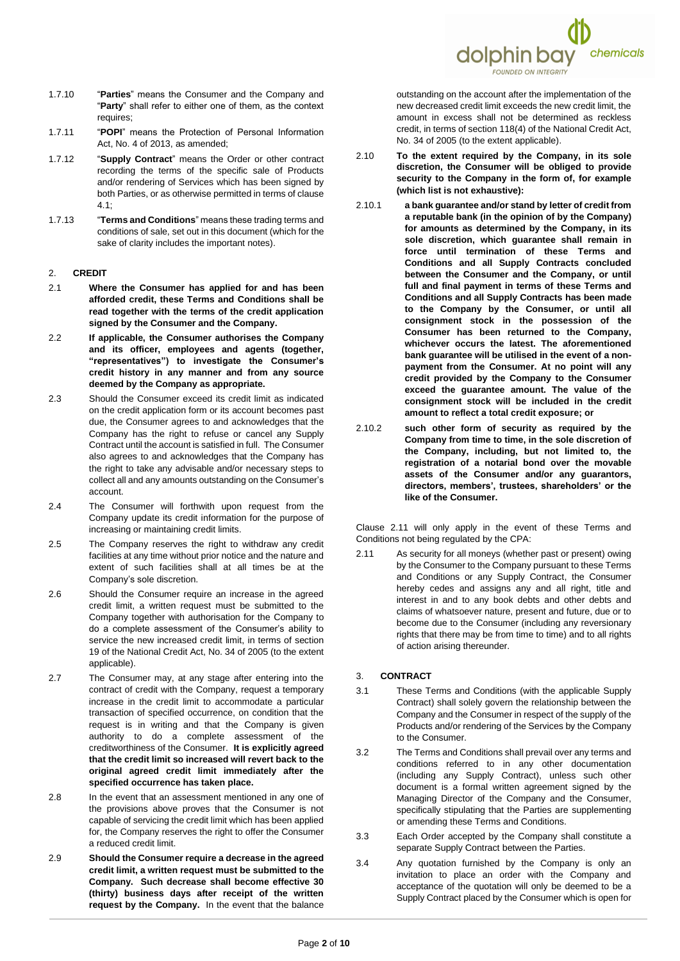

- 1.7.10 "**Parties**" means the Consumer and the Company and "**Party**" shall refer to either one of them, as the context requires;
- 1.7.11 "**POPI**" means the Protection of Personal Information Act, No. 4 of 2013, as amended;
- 1.7.12 "**Supply Contract**" means the Order or other contract recording the terms of the specific sale of Products and/or rendering of Services which has been signed by both Parties, or as otherwise permitted in terms of clause [4.1;](#page-2-0)
- 1.7.13 "**Terms and Conditions**" means these trading terms and conditions of sale, set out in this document (which for the sake of clarity includes the important notes).

#### <span id="page-1-2"></span>2. **CREDIT**

- 2.1 **Where the Consumer has applied for and has been afforded credit, these Terms and Conditions shall be read together with the terms of the credit application signed by the Consumer and the Company.**
- 2.2 **If applicable, the Consumer authorises the Company and its officer, employees and agents (together, "representatives") to investigate the Consumer's credit history in any manner and from any source deemed by the Company as appropriate.**
- 2.3 Should the Consumer exceed its credit limit as indicated on the credit application form or its account becomes past due, the Consumer agrees to and acknowledges that the Company has the right to refuse or cancel any Supply Contract until the account is satisfied in full. The Consumer also agrees to and acknowledges that the Company has the right to take any advisable and/or necessary steps to collect all and any amounts outstanding on the Consumer's account.
- 2.4 The Consumer will forthwith upon request from the Company update its credit information for the purpose of increasing or maintaining credit limits.
- 2.5 The Company reserves the right to withdraw any credit facilities at any time without prior notice and the nature and extent of such facilities shall at all times be at the Company's sole discretion.
- 2.6 Should the Consumer require an increase in the agreed credit limit, a written request must be submitted to the Company together with authorisation for the Company to do a complete assessment of the Consumer's ability to service the new increased credit limit, in terms of section 19 of the National Credit Act, No. 34 of 2005 (to the extent applicable).
- 2.7 The Consumer may, at any stage after entering into the contract of credit with the Company, request a temporary increase in the credit limit to accommodate a particular transaction of specified occurrence, on condition that the request is in writing and that the Company is given authority to do a complete assessment of the creditworthiness of the Consumer. **It is explicitly agreed that the credit limit so increased will revert back to the original agreed credit limit immediately after the specified occurrence has taken place.**
- 2.8 In the event that an assessment mentioned in any one of the provisions above proves that the Consumer is not capable of servicing the credit limit which has been applied for, the Company reserves the right to offer the Consumer a reduced credit limit.
- 2.9 **Should the Consumer require a decrease in the agreed credit limit, a written request must be submitted to the Company. Such decrease shall become effective 30 (thirty) business days after receipt of the written request by the Company.** In the event that the balance

outstanding on the account after the implementation of the new decreased credit limit exceeds the new credit limit, the amount in excess shall not be determined as reckless credit, in terms of section 118(4) of the National Credit Act, No. 34 of 2005 (to the extent applicable).

- 2.10 **To the extent required by the Company, in its sole discretion, the Consumer will be obliged to provide security to the Company in the form of, for example (which list is not exhaustive):**
- 2.10.1 **a bank guarantee and/or stand by letter of credit from a reputable bank (in the opinion of by the Company) for amounts as determined by the Company, in its sole discretion, which guarantee shall remain in force until termination of these Terms and Conditions and all Supply Contracts concluded between the Consumer and the Company, or until full and final payment in terms of these Terms and Conditions and all Supply Contracts has been made to the Company by the Consumer, or until all consignment stock in the possession of the Consumer has been returned to the Company, whichever occurs the latest. The aforementioned bank guarantee will be utilised in the event of a nonpayment from the Consumer. At no point will any credit provided by the Company to the Consumer exceed the guarantee amount. The value of the consignment stock will be included in the credit amount to reflect a total credit exposure; or**
- 2.10.2 **such other form of security as required by the Company from time to time, in the sole discretion of the Company, including, but not limited to, the registration of a notarial bond over the movable assets of the Consumer and/or any guarantors, directors, members', trustees, shareholders' or the like of the Consumer.**

Clause [2.11](#page-1-1) will only apply in the event of these Terms and Conditions not being regulated by the CPA:

<span id="page-1-1"></span>2.11 As security for all moneys (whether past or present) owing by the Consumer to the Company pursuant to these Terms and Conditions or any Supply Contract, the Consumer hereby cedes and assigns any and all right, title and interest in and to any book debts and other debts and claims of whatsoever nature, present and future, due or to become due to the Consumer (including any reversionary rights that there may be from time to time) and to all rights of action arising thereunder.

# 3. **CONTRACT**

- 3.1 These Terms and Conditions (with the applicable Supply Contract) shall solely govern the relationship between the Company and the Consumer in respect of the supply of the Products and/or rendering of the Services by the Company to the Consumer.
- <span id="page-1-0"></span>3.2 The Terms and Conditions shall prevail over any terms and conditions referred to in any other documentation (including any Supply Contract), unless such other document is a formal written agreement signed by the Managing Director of the Company and the Consumer, specifically stipulating that the Parties are supplementing or amending these Terms and Conditions.
- 3.3 Each Order accepted by the Company shall constitute a separate Supply Contract between the Parties.
- 3.4 Any quotation furnished by the Company is only an invitation to place an order with the Company and acceptance of the quotation will only be deemed to be a Supply Contract placed by the Consumer which is open for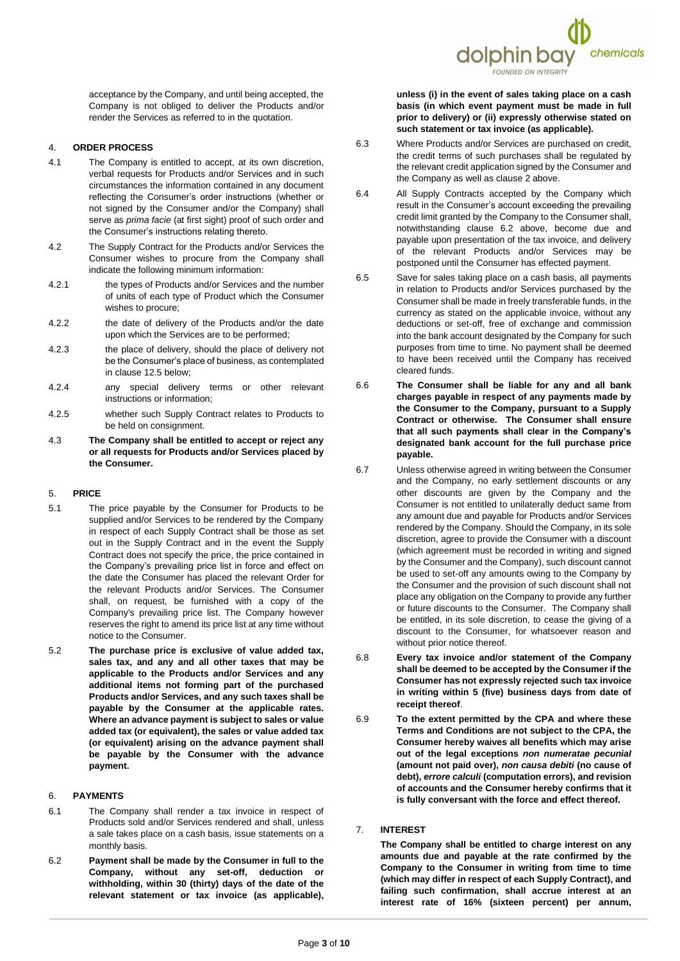acceptance by the Company, and until being accepted, the Company is not obliged to deliver the Products and/or render the Services as referred to in the quotation.

## 4. **ORDER PROCESS**

- <span id="page-2-0"></span>4.1 The Company is entitled to accept, at its own discretion, verbal requests for Products and/or Services and in such circumstances the information contained in any document reflecting the Consumer's order instructions (whether or not signed by the Consumer and/or the Company) shall serve as *prima facie* (at first sight) proof of such order and the Consumer's instructions relating thereto.
- 4.2 The Supply Contract for the Products and/or Services the Consumer wishes to procure from the Company shall indicate the following minimum information:
- 4.2.1 the types of Products and/or Services and the number of units of each type of Product which the Consumer wishes to procure;
- 4.2.2 the date of delivery of the Products and/or the date upon which the Services are to be performed;
- 4.2.3 the place of delivery, should the place of delivery not be the Consumer's place of business, as contemplated in clause [12.5](#page-4-0) below;
- 4.2.4 any special delivery terms or other relevant instructions or information;
- 4.2.5 whether such Supply Contract relates to Products to be held on consignment.
- 4.3 **The Company shall be entitled to accept or reject any or all requests for Products and/or Services placed by the Consumer.**

# 5. **PRICE**

- 5.1 The price payable by the Consumer for Products to be supplied and/or Services to be rendered by the Company in respect of each Supply Contract shall be those as set out in the Supply Contract and in the event the Supply Contract does not specify the price, the price contained in the Company's prevailing price list in force and effect on the date the Consumer has placed the relevant Order for the relevant Products and/or Services. The Consumer shall, on request, be furnished with a copy of the Company's prevailing price list. The Company however reserves the right to amend its price list at any time without notice to the Consumer.
- 5.2 **The purchase price is exclusive of value added tax, sales tax, and any and all other taxes that may be applicable to the Products and/or Services and any additional items not forming part of the purchased Products and/or Services, and any such taxes shall be payable by the Consumer at the applicable rates. Where an advance payment is subject to sales or value added tax (or equivalent), the sales or value added tax (or equivalent) arising on the advance payment shall be payable by the Consumer with the advance payment.**

# 6. **PAYMENTS**

- 6.1 The Company shall render a tax invoice in respect of Products sold and/or Services rendered and shall, unless a sale takes place on a cash basis, issue statements on a monthly basis.
- 6.2 **Payment shall be made by the Consumer in full to the Company, without any set-off, deduction or withholding, within 30 (thirty) days of the date of the relevant statement or tax invoice (as applicable),**

**unless (i) in the event of sales taking place on a cash basis (in which event payment must be made in full prior to delivery) or (ii) expressly otherwise stated on such statement or tax invoice (as applicable).**

dolphin bay

<span id="page-2-1"></span>chemicals

- 6.3 Where Products and/or Services are purchased on credit, the credit terms of such purchases shall be regulated by the relevant credit application signed by the Consumer and the Company as well as clause [2](#page-1-2) above.
- 6.4 All Supply Contracts accepted by the Company which result in the Consumer's account exceeding the prevailing credit limit granted by the Company to the Consumer shall, notwithstanding clause [6.2](#page-2-1) above, become due and payable upon presentation of the tax invoice, and delivery of the relevant Products and/or Services may be postponed until the Consumer has effected payment.
- 6.5 Save for sales taking place on a cash basis, all payments in relation to Products and/or Services purchased by the Consumer shall be made in freely transferable funds, in the currency as stated on the applicable invoice, without any deductions or set-off, free of exchange and commission into the bank account designated by the Company for such purposes from time to time. No payment shall be deemed to have been received until the Company has received cleared funds.
- 6.6 **The Consumer shall be liable for any and all bank charges payable in respect of any payments made by the Consumer to the Company, pursuant to a Supply Contract or otherwise. The Consumer shall ensure that all such payments shall clear in the Company's designated bank account for the full purchase price payable.**
- 6.7 Unless otherwise agreed in writing between the Consumer and the Company, no early settlement discounts or any other discounts are given by the Company and the Consumer is not entitled to unilaterally deduct same from any amount due and payable for Products and/or Services rendered by the Company. Should the Company, in its sole discretion, agree to provide the Consumer with a discount (which agreement must be recorded in writing and signed by the Consumer and the Company), such discount cannot be used to set-off any amounts owing to the Company by the Consumer and the provision of such discount shall not place any obligation on the Company to provide any further or future discounts to the Consumer. The Company shall be entitled, in its sole discretion, to cease the giving of a discount to the Consumer, for whatsoever reason and without prior notice thereof.
- 6.8 **Every tax invoice and/or statement of the Company shall be deemed to be accepted by the Consumer if the Consumer has not expressly rejected such tax invoice in writing within 5 (five) business days from date of receipt thereof**.
- 6.9 **To the extent permitted by the CPA and where these Terms and Conditions are not subject to the CPA, the Consumer hereby waives all benefits which may arise out of the legal exceptions** *non numeratae pecuniaI* **(amount not paid over),** *non causa debiti* **(no cause of debt),** *errore calculi* **(computation errors), and revision of accounts and the Consumer hereby confirms that it is fully conversant with the force and effect thereof.**
- 7. **INTEREST**

**The Company shall be entitled to charge interest on any amounts due and payable at the rate confirmed by the Company to the Consumer in writing from time to time (which may differ in respect of each Supply Contract), and failing such confirmation, shall accrue interest at an interest rate of 16% (sixteen percent) per annum,**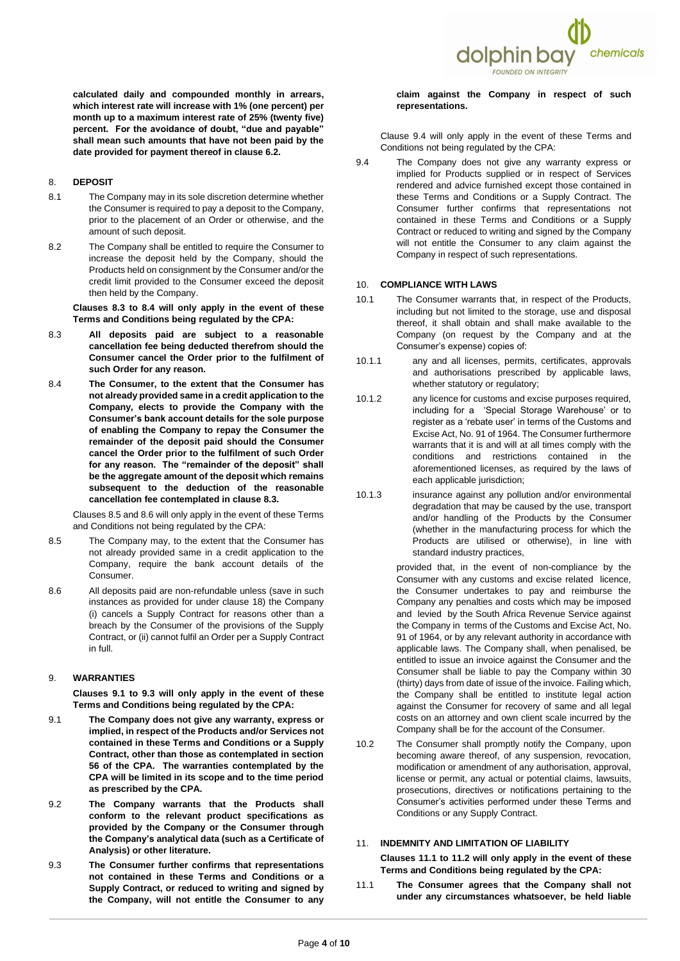

**calculated daily and compounded monthly in arrears, which interest rate will increase with 1% (one percent) per month up to a maximum interest rate of 25% (twenty five) percent. For the avoidance of doubt, "due and payable" shall mean such amounts that have not been paid by the date provided for payment thereof in claus[e 6.2.](#page-2-1)**

## 8. **DEPOSIT**

- 8.1 The Company may in its sole discretion determine whether the Consumer is required to pay a deposit to the Company, prior to the placement of an Order or otherwise, and the amount of such deposit.
- 8.2 The Company shall be entitled to require the Consumer to increase the deposit held by the Company, should the Products held on consignment by the Consumer and/or the credit limit provided to the Consumer exceed the deposit then held by the Company.

**Clauses [8.3](#page-3-2) to [8.4](#page-3-3) will only apply in the event of these Terms and Conditions being regulated by the CPA:**

- <span id="page-3-2"></span>8.3 **All deposits paid are subject to a reasonable cancellation fee being deducted therefrom should the Consumer cancel the Order prior to the fulfilment of such Order for any reason.**
- <span id="page-3-3"></span>8.4 **The Consumer, to the extent that the Consumer has not already provided same in a credit application to the Company, elects to provide the Company with the Consumer's bank account details for the sole purpose of enabling the Company to repay the Consumer the remainder of the deposit paid should the Consumer cancel the Order prior to the fulfilment of such Order for any reason. The "remainder of the deposit" shall be the aggregate amount of the deposit which remains subsequent to the deduction of the reasonable cancellation fee contemplated in clause [8.3.](#page-3-2)**

Clause[s 8.5](#page-3-4) and [8.6](#page-3-5) will only apply in the event of these Terms and Conditions not being regulated by the CPA:

- <span id="page-3-4"></span>8.5 The Company may, to the extent that the Consumer has not already provided same in a credit application to the Company, require the bank account details of the Consumer.
- <span id="page-3-5"></span>8.6 All deposits paid are non-refundable unless (save in such instances as provided for under clause [18\)](#page-6-0) the Company (i) cancels a Supply Contract for reasons other than a breach by the Consumer of the provisions of the Supply Contract, or (ii) cannot fulfil an Order per a Supply Contract in full.

#### 9. **WARRANTIES**

**Clauses [9.1](#page-3-6) to [9.3](#page-3-1) will only apply in the event of these Terms and Conditions being regulated by the CPA:**

- <span id="page-3-6"></span>9.1 **The Company does not give any warranty, express or implied, in respect of the Products and/or Services not contained in these Terms and Conditions or a Supply Contract, other than those as contemplated in section 56 of the CPA. The warranties contemplated by the CPA will be limited in its scope and to the time period as prescribed by the CPA.**
- 9.2 **The Company warrants that the Products shall conform to the relevant product specifications as provided by the Company or the Consumer through the Company's analytical data (such as a Certificate of Analysis) or other literature.**
- <span id="page-3-1"></span>9.3 **The Consumer further confirms that representations not contained in these Terms and Conditions or a Supply Contract, or reduced to writing and signed by the Company, will not entitle the Consumer to any**

**claim against the Company in respect of such representations.**

Clause [9.4](#page-3-7) will only apply in the event of these Terms and Conditions not being regulated by the CPA:

<span id="page-3-7"></span>9.4 The Company does not give any warranty express or implied for Products supplied or in respect of Services rendered and advice furnished except those contained in these Terms and Conditions or a Supply Contract. The Consumer further confirms that representations not contained in these Terms and Conditions or a Supply Contract or reduced to writing and signed by the Company will not entitle the Consumer to any claim against the Company in respect of such representations.

#### 10. **COMPLIANCE WITH LAWS**

- 10.1 The Consumer warrants that, in respect of the Products, including but not limited to the storage, use and disposal thereof, it shall obtain and shall make available to the Company (on request by the Company and at the Consumer's expense) copies of:
- 10.1.1 any and all licenses, permits, certificates, approvals and authorisations prescribed by applicable laws, whether statutory or regulatory;
- 10.1.2 any licence for customs and excise purposes required, including for a 'Special Storage Warehouse' or to register as a 'rebate user' in terms of the Customs and Excise Act, No. 91 of 1964. The Consumer furthermore warrants that it is and will at all times comply with the conditions and restrictions contained in the aforementioned licenses, as required by the laws of each applicable jurisdiction;
- 10.1.3 insurance against any pollution and/or environmental degradation that may be caused by the use, transport and/or handling of the Products by the Consumer (whether in the manufacturing process for which the Products are utilised or otherwise), in line with standard industry practices,

provided that, in the event of non-compliance by the Consumer with any customs and excise related licence, the Consumer undertakes to pay and reimburse the Company any penalties and costs which may be imposed and levied by the South Africa Revenue Service against the Company in terms of the Customs and Excise Act, No. 91 of 1964, or by any relevant authority in accordance with applicable laws. The Company shall, when penalised, be entitled to issue an invoice against the Consumer and the Consumer shall be liable to pay the Company within 30 (thirty) days from date of issue of the invoice. Failing which, the Company shall be entitled to institute legal action against the Consumer for recovery of same and all legal costs on an attorney and own client scale incurred by the Company shall be for the account of the Consumer.

10.2 The Consumer shall promptly notify the Company, upon becoming aware thereof, of any suspension, revocation, modification or amendment of any authorisation, approval, license or permit, any actual or potential claims, lawsuits, prosecutions, directives or notifications pertaining to the Consumer's activities performed under these Terms and Conditions or any Supply Contract.

# <span id="page-3-0"></span>11. **INDEMNITY AND LIMITATION OF LIABILITY Clauses [11.1](#page-3-8) to [11.2](#page-4-1) will only apply in the event of these Terms and Conditions being regulated by the CPA:**

<span id="page-3-8"></span>11.1 **The Consumer agrees that the Company shall not under any circumstances whatsoever, be held liable**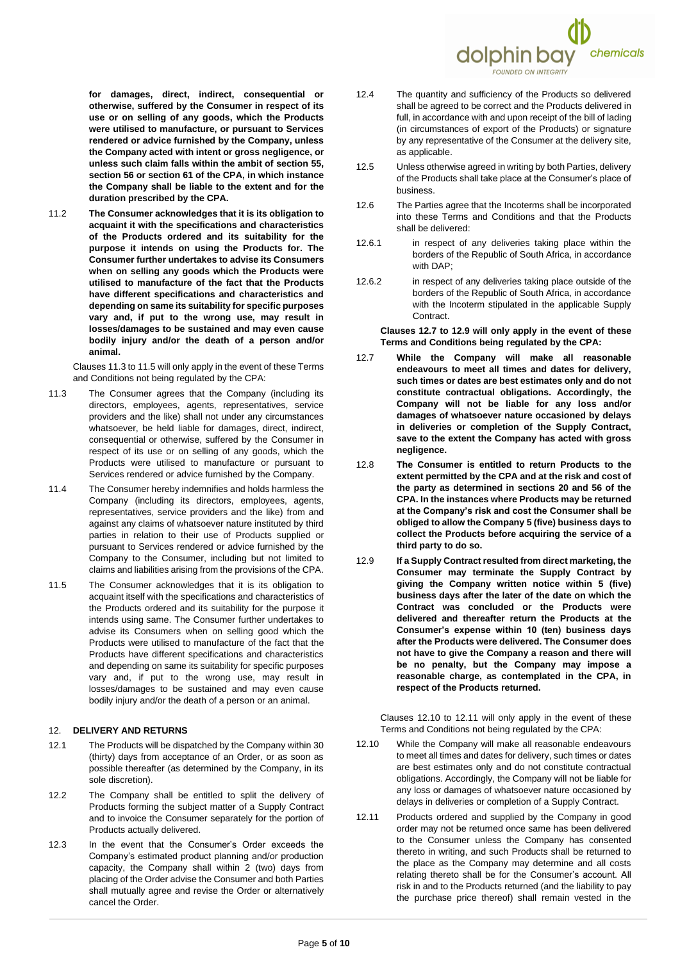

**for damages, direct, indirect, consequential or otherwise, suffered by the Consumer in respect of its use or on selling of any goods, which the Products were utilised to manufacture, or pursuant to Services rendered or advice furnished by the Company, unless the Company acted with intent or gross negligence, or unless such claim falls within the ambit of section 55, section 56 or section 61 of the CPA, in which instance the Company shall be liable to the extent and for the duration prescribed by the CPA.**

<span id="page-4-1"></span>11.2 **The Consumer acknowledges that it is its obligation to acquaint it with the specifications and characteristics of the Products ordered and its suitability for the purpose it intends on using the Products for. The Consumer further undertakes to advise its Consumers when on selling any goods which the Products were utilised to manufacture of the fact that the Products have different specifications and characteristics and depending on same its suitability for specific purposes vary and, if put to the wrong use, may result in losses/damages to be sustained and may even cause bodily injury and/or the death of a person and/or animal.**

Clauses [11.3](#page-4-2) t[o 11.5](#page-4-3) will only apply in the event of these Terms and Conditions not being regulated by the CPA:

- <span id="page-4-2"></span>11.3 The Consumer agrees that the Company (including its directors, employees, agents, representatives, service providers and the like) shall not under any circumstances whatsoever, be held liable for damages, direct, indirect, consequential or otherwise, suffered by the Consumer in respect of its use or on selling of any goods, which the Products were utilised to manufacture or pursuant to Services rendered or advice furnished by the Company.
- 11.4 The Consumer hereby indemnifies and holds harmless the Company (including its directors, employees, agents, representatives, service providers and the like) from and against any claims of whatsoever nature instituted by third parties in relation to their use of Products supplied or pursuant to Services rendered or advice furnished by the Company to the Consumer, including but not limited to claims and liabilities arising from the provisions of the CPA.
- <span id="page-4-3"></span>11.5 The Consumer acknowledges that it is its obligation to acquaint itself with the specifications and characteristics of the Products ordered and its suitability for the purpose it intends using same. The Consumer further undertakes to advise its Consumers when on selling good which the Products were utilised to manufacture of the fact that the Products have different specifications and characteristics and depending on same its suitability for specific purposes vary and, if put to the wrong use, may result in losses/damages to be sustained and may even cause bodily injury and/or the death of a person or an animal.

## 12. **DELIVERY AND RETURNS**

- 12.1 The Products will be dispatched by the Company within 30 (thirty) days from acceptance of an Order, or as soon as possible thereafter (as determined by the Company, in its sole discretion).
- 12.2 The Company shall be entitled to split the delivery of Products forming the subject matter of a Supply Contract and to invoice the Consumer separately for the portion of Products actually delivered.
- 12.3 In the event that the Consumer's Order exceeds the Company's estimated product planning and/or production capacity, the Company shall within 2 (two) days from placing of the Order advise the Consumer and both Parties shall mutually agree and revise the Order or alternatively cancel the Order.
- 12.4 The quantity and sufficiency of the Products so delivered shall be agreed to be correct and the Products delivered in full, in accordance with and upon receipt of the bill of lading (in circumstances of export of the Products) or signature by any representative of the Consumer at the delivery site, as applicable.
- <span id="page-4-0"></span>12.5 Unless otherwise agreed in writing by both Parties, delivery of the Products shall take place at the Consumer's place of business.
- 12.6 The Parties agree that the Incoterms shall be incorporated into these Terms and Conditions and that the Products shall be delivered:
- 12.6.1 in respect of any deliveries taking place within the borders of the Republic of South Africa, in accordance with DAP;
- 12.6.2 in respect of any deliveries taking place outside of the borders of the Republic of South Africa, in accordance with the Incoterm stipulated in the applicable Supply Contract.

**Clauses [12.7](#page-4-4) to [12.9](#page-4-5) will only apply in the event of these Terms and Conditions being regulated by the CPA:**

- <span id="page-4-4"></span>12.7 **While the Company will make all reasonable endeavours to meet all times and dates for delivery, such times or dates are best estimates only and do not constitute contractual obligations. Accordingly, the Company will not be liable for any loss and/or damages of whatsoever nature occasioned by delays in deliveries or completion of the Supply Contract, save to the extent the Company has acted with gross negligence.**
- 12.8 **The Consumer is entitled to return Products to the extent permitted by the CPA and at the risk and cost of the party as determined in sections 20 and 56 of the CPA. In the instances where Products may be returned at the Company's risk and cost the Consumer shall be obliged to allow the Company 5 (five) business days to collect the Products before acquiring the service of a third party to do so.**
- <span id="page-4-5"></span>12.9 **If a Supply Contract resulted from direct marketing, the Consumer may terminate the Supply Contract by giving the Company written notice within 5 (five) business days after the later of the date on which the Contract was concluded or the Products were delivered and thereafter return the Products at the Consumer's expense within 10 (ten) business days after the Products were delivered. The Consumer does not have to give the Company a reason and there will be no penalty, but the Company may impose a reasonable charge, as contemplated in the CPA, in respect of the Products returned.**

Clauses [12.10](#page-4-6) to [12.11](#page-4-7) will only apply in the event of these Terms and Conditions not being regulated by the CPA:

- <span id="page-4-6"></span>12.10 While the Company will make all reasonable endeavours to meet all times and dates for delivery, such times or dates are best estimates only and do not constitute contractual obligations. Accordingly, the Company will not be liable for any loss or damages of whatsoever nature occasioned by delays in deliveries or completion of a Supply Contract.
- <span id="page-4-7"></span>12.11 Products ordered and supplied by the Company in good order may not be returned once same has been delivered to the Consumer unless the Company has consented thereto in writing, and such Products shall be returned to the place as the Company may determine and all costs relating thereto shall be for the Consumer's account. All risk in and to the Products returned (and the liability to pay the purchase price thereof) shall remain vested in the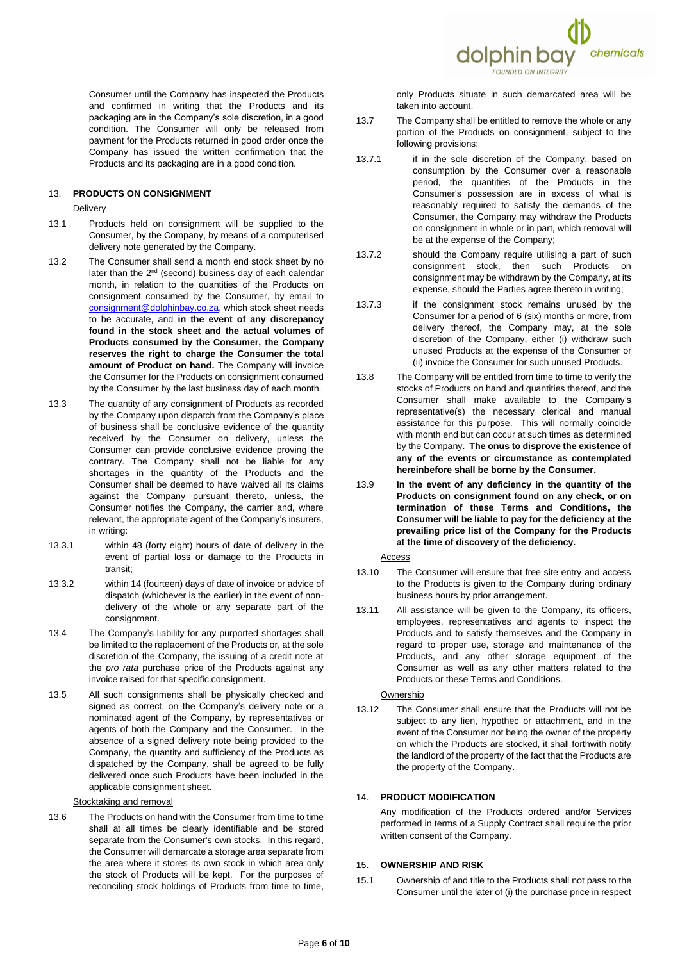

Consumer until the Company has inspected the Products and confirmed in writing that the Products and its packaging are in the Company's sole discretion, in a good condition. The Consumer will only be released from payment for the Products returned in good order once the Company has issued the written confirmation that the Products and its packaging are in a good condition.

# 13. **PRODUCTS ON CONSIGNMENT**

#### **Delivery**

- 13.1 Products held on consignment will be supplied to the Consumer, by the Company, by means of a computerised delivery note generated by the Company.
- 13.2 The Consumer shall send a month end stock sheet by no later than the 2<sup>nd</sup> (second) business day of each calendar month, in relation to the quantities of the Products on consignment consumed by the Consumer, by email to [consignment@dolphinbay.co.za,](mailto:consignment@dolphinbay.co.za) which stock sheet needs to be accurate, and **in the event of any discrepancy found in the stock sheet and the actual volumes of Products consumed by the Consumer, the Company reserves the right to charge the Consumer the total amount of Product on hand.** The Company will invoice the Consumer for the Products on consignment consumed by the Consumer by the last business day of each month.
- 13.3 The quantity of any consignment of Products as recorded by the Company upon dispatch from the Company's place of business shall be conclusive evidence of the quantity received by the Consumer on delivery, unless the Consumer can provide conclusive evidence proving the contrary. The Company shall not be liable for any shortages in the quantity of the Products and the Consumer shall be deemed to have waived all its claims against the Company pursuant thereto, unless, the Consumer notifies the Company, the carrier and, where relevant, the appropriate agent of the Company's insurers, in writing:
- 13.3.1 within 48 (forty eight) hours of date of delivery in the event of partial loss or damage to the Products in transit;
- 13.3.2 within 14 (fourteen) days of date of invoice or advice of dispatch (whichever is the earlier) in the event of nondelivery of the whole or any separate part of the consignment.
- 13.4 The Company's liability for any purported shortages shall be limited to the replacement of the Products or, at the sole discretion of the Company, the issuing of a credit note at the *pro rata* purchase price of the Products against any invoice raised for that specific consignment.
- 13.5 All such consignments shall be physically checked and signed as correct, on the Company's delivery note or a nominated agent of the Company, by representatives or agents of both the Company and the Consumer. In the absence of a signed delivery note being provided to the Company, the quantity and sufficiency of the Products as dispatched by the Company, shall be agreed to be fully delivered once such Products have been included in the applicable consignment sheet.

#### Stocktaking and removal

13.6 The Products on hand with the Consumer from time to time shall at all times be clearly identifiable and be stored separate from the Consumer's own stocks. In this regard, the Consumer will demarcate a storage area separate from the area where it stores its own stock in which area only the stock of Products will be kept. For the purposes of reconciling stock holdings of Products from time to time, only Products situate in such demarcated area will be taken into account.

- 13.7 The Company shall be entitled to remove the whole or any portion of the Products on consignment, subject to the following provisions:
- 13.7.1 if in the sole discretion of the Company, based on consumption by the Consumer over a reasonable period, the quantities of the Products in the Consumer's possession are in excess of what is reasonably required to satisfy the demands of the Consumer, the Company may withdraw the Products on consignment in whole or in part, which removal will be at the expense of the Company;
- 13.7.2 should the Company require utilising a part of such consignment stock, then such Products on consignment may be withdrawn by the Company, at its expense, should the Parties agree thereto in writing;
- 13.7.3 if the consignment stock remains unused by the Consumer for a period of 6 (six) months or more, from delivery thereof, the Company may, at the sole discretion of the Company, either (i) withdraw such unused Products at the expense of the Consumer or (ii) invoice the Consumer for such unused Products.
- 13.8 The Company will be entitled from time to time to verify the stocks of Products on hand and quantities thereof, and the Consumer shall make available to the Company's representative(s) the necessary clerical and manual assistance for this purpose. This will normally coincide with month end but can occur at such times as determined by the Company. **The onus to disprove the existence of any of the events or circumstance as contemplated hereinbefore shall be borne by the Consumer.**
- 13.9 **In the event of any deficiency in the quantity of the Products on consignment found on any check, or on termination of these Terms and Conditions, the Consumer will be liable to pay for the deficiency at the prevailing price list of the Company for the Products at the time of discovery of the deficiency.**

#### Access

- 13.10 The Consumer will ensure that free site entry and access to the Products is given to the Company during ordinary business hours by prior arrangement.
- 13.11 All assistance will be given to the Company, its officers, employees, representatives and agents to inspect the Products and to satisfy themselves and the Company in regard to proper use, storage and maintenance of the Products, and any other storage equipment of the Consumer as well as any other matters related to the Products or these Terms and Conditions.

#### Ownership

13.12 The Consumer shall ensure that the Products will not be subject to any lien, hypothec or attachment, and in the event of the Consumer not being the owner of the property on which the Products are stocked, it shall forthwith notify the landlord of the property of the fact that the Products are the property of the Company.

## 14. **PRODUCT MODIFICATION**

Any modification of the Products ordered and/or Services performed in terms of a Supply Contract shall require the prior written consent of the Company.

#### 15. **OWNERSHIP AND RISK**

15.1 Ownership of and title to the Products shall not pass to the Consumer until the later of (i) the purchase price in respect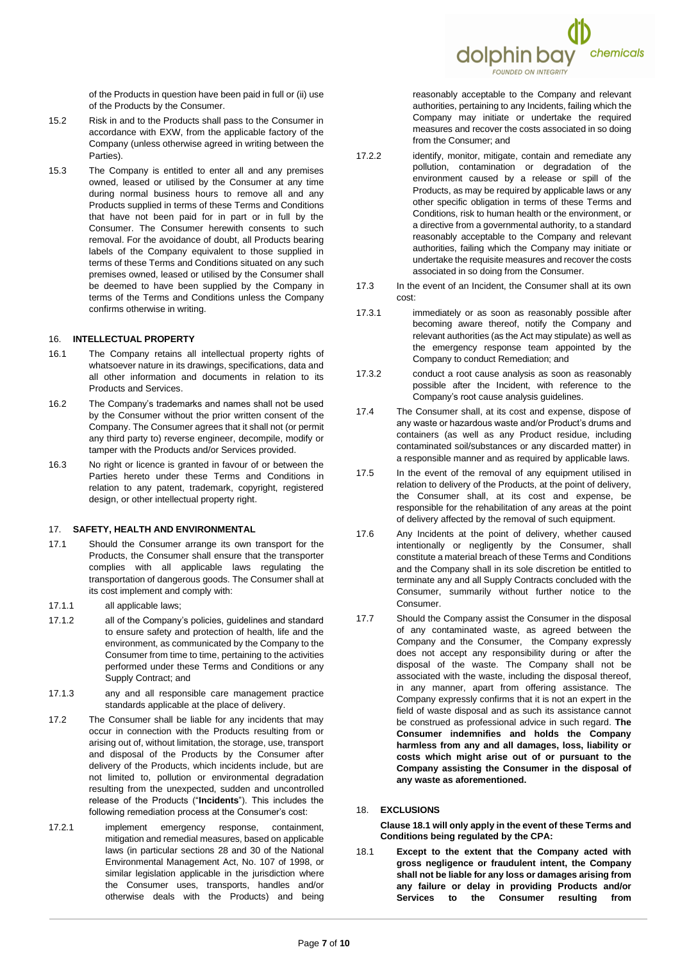

of the Products in question have been paid in full or (ii) use of the Products by the Consumer.

- 15.2 Risk in and to the Products shall pass to the Consumer in accordance with EXW, from the applicable factory of the Company (unless otherwise agreed in writing between the Parties).
- 15.3 The Company is entitled to enter all and any premises owned, leased or utilised by the Consumer at any time during normal business hours to remove all and any Products supplied in terms of these Terms and Conditions that have not been paid for in part or in full by the Consumer. The Consumer herewith consents to such removal. For the avoidance of doubt, all Products bearing labels of the Company equivalent to those supplied in terms of these Terms and Conditions situated on any such premises owned, leased or utilised by the Consumer shall be deemed to have been supplied by the Company in terms of the Terms and Conditions unless the Company confirms otherwise in writing.

#### 16. **INTELLECTUAL PROPERTY**

- 16.1 The Company retains all intellectual property rights of whatsoever nature in its drawings, specifications, data and all other information and documents in relation to its Products and Services.
- 16.2 The Company's trademarks and names shall not be used by the Consumer without the prior written consent of the Company. The Consumer agrees that it shall not (or permit any third party to) reverse engineer, decompile, modify or tamper with the Products and/or Services provided.
- 16.3 No right or licence is granted in favour of or between the Parties hereto under these Terms and Conditions in relation to any patent, trademark, copyright, registered design, or other intellectual property right.

#### 17. **SAFETY, HEALTH AND ENVIRONMENTAL**

- 17.1 Should the Consumer arrange its own transport for the Products, the Consumer shall ensure that the transporter complies with all applicable laws regulating the transportation of dangerous goods. The Consumer shall at its cost implement and comply with:
- 17.1.1 all applicable laws;
- 17.1.2 all of the Company's policies, guidelines and standard to ensure safety and protection of health, life and the environment, as communicated by the Company to the Consumer from time to time, pertaining to the activities performed under these Terms and Conditions or any Supply Contract; and
- 17.1.3 any and all responsible care management practice standards applicable at the place of delivery.
- 17.2 The Consumer shall be liable for any incidents that may occur in connection with the Products resulting from or arising out of, without limitation, the storage, use, transport and disposal of the Products by the Consumer after delivery of the Products, which incidents include, but are not limited to, pollution or environmental degradation resulting from the unexpected, sudden and uncontrolled release of the Products ("**Incidents**"). This includes the following remediation process at the Consumer's cost:
- 17.2.1 implement emergency response, containment, mitigation and remedial measures, based on applicable laws (in particular sections 28 and 30 of the National Environmental Management Act, No. 107 of 1998, or similar legislation applicable in the jurisdiction where the Consumer uses, transports, handles and/or otherwise deals with the Products) and being

reasonably acceptable to the Company and relevant authorities, pertaining to any Incidents, failing which the Company may initiate or undertake the required measures and recover the costs associated in so doing from the Consumer; and

- 17.2.2 identify, monitor, mitigate, contain and remediate any pollution, contamination or degradation of the environment caused by a release or spill of the Products, as may be required by applicable laws or any other specific obligation in terms of these Terms and Conditions, risk to human health or the environment, or a directive from a governmental authority, to a standard reasonably acceptable to the Company and relevant authorities, failing which the Company may initiate or undertake the requisite measures and recover the costs associated in so doing from the Consumer.
- 17.3 In the event of an Incident, the Consumer shall at its own cost:
- 17.3.1 immediately or as soon as reasonably possible after becoming aware thereof, notify the Company and relevant authorities (as the Act may stipulate) as well as the emergency response team appointed by the Company to conduct Remediation; and
- 17.3.2 conduct a root cause analysis as soon as reasonably possible after the Incident, with reference to the Company's root cause analysis guidelines.
- 17.4 The Consumer shall, at its cost and expense, dispose of any waste or hazardous waste and/or Product's drums and containers (as well as any Product residue, including contaminated soil/substances or any discarded matter) in a responsible manner and as required by applicable laws.
- 17.5 In the event of the removal of any equipment utilised in relation to delivery of the Products, at the point of delivery, the Consumer shall, at its cost and expense, be responsible for the rehabilitation of any areas at the point of delivery affected by the removal of such equipment.
- 17.6 Any Incidents at the point of delivery, whether caused intentionally or negligently by the Consumer, shall constitute a material breach of these Terms and Conditions and the Company shall in its sole discretion be entitled to terminate any and all Supply Contracts concluded with the Consumer, summarily without further notice to the Consumer.
- 17.7 Should the Company assist the Consumer in the disposal of any contaminated waste, as agreed between the Company and the Consumer, the Company expressly does not accept any responsibility during or after the disposal of the waste. The Company shall not be associated with the waste, including the disposal thereof, in any manner, apart from offering assistance. The Company expressly confirms that it is not an expert in the field of waste disposal and as such its assistance cannot be construed as professional advice in such regard. **The Consumer indemnifies and holds the Company harmless from any and all damages, loss, liability or costs which might arise out of or pursuant to the Company assisting the Consumer in the disposal of any waste as aforementioned.**

#### <span id="page-6-0"></span>18. **EXCLUSIONS**

**Claus[e 18.1](#page-6-1) will only apply in the event of these Terms and Conditions being regulated by the CPA:**

<span id="page-6-1"></span>18.1 **Except to the extent that the Company acted with gross negligence or fraudulent intent, the Company shall not be liable for any loss or damages arising from any failure or delay in providing Products and/or Services to the Consumer resulting from**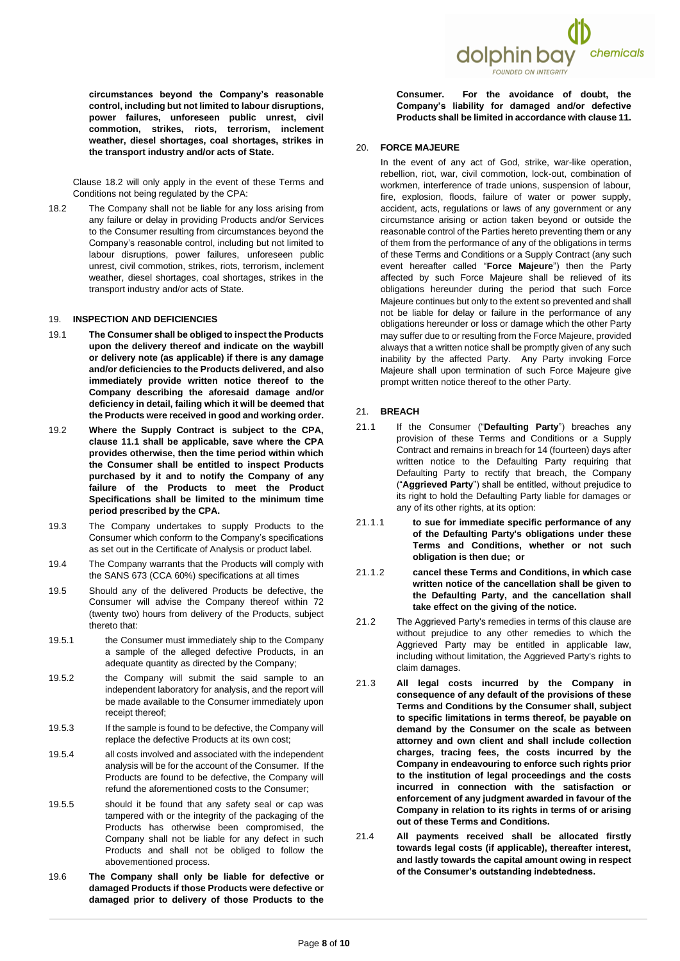**circumstances beyond the Company's reasonable control, including but not limited to labour disruptions, power failures, unforeseen public unrest, civil commotion, strikes, riots, terrorism, inclement weather, diesel shortages, coal shortages, strikes in the transport industry and/or acts of State.**

Clause [18.2](#page-7-0) will only apply in the event of these Terms and Conditions not being regulated by the CPA:

<span id="page-7-0"></span>18.2 The Company shall not be liable for any loss arising from any failure or delay in providing Products and/or Services to the Consumer resulting from circumstances beyond the Company's reasonable control, including but not limited to labour disruptions, power failures, unforeseen public unrest, civil commotion, strikes, riots, terrorism, inclement weather, diesel shortages, coal shortages, strikes in the transport industry and/or acts of State.

# 19. **INSPECTION AND DEFICIENCIES**

- 19.1 **The Consumer shall be obliged to inspect the Products upon the delivery thereof and indicate on the waybill or delivery note (as applicable) if there is any damage and/or deficiencies to the Products delivered, and also immediately provide written notice thereof to the Company describing the aforesaid damage and/or deficiency in detail, failing which it will be deemed that the Products were received in good and working order.**
- 19.2 **Where the Supply Contract is subject to the CPA, clause [11.1](#page-3-8) shall be applicable, save where the CPA provides otherwise, then the time period within which the Consumer shall be entitled to inspect Products purchased by it and to notify the Company of any failure of the Products to meet the Product Specifications shall be limited to the minimum time period prescribed by the CPA.**
- 19.3 The Company undertakes to supply Products to the Consumer which conform to the Company's specifications as set out in the Certificate of Analysis or product label.
- 19.4 The Company warrants that the Products will comply with the SANS 673 (CCA 60%) specifications at all times
- 19.5 Should any of the delivered Products be defective, the Consumer will advise the Company thereof within 72 (twenty two) hours from delivery of the Products, subject thereto that:
- 19.5.1 the Consumer must immediately ship to the Company a sample of the alleged defective Products, in an adequate quantity as directed by the Company;
- 19.5.2 the Company will submit the said sample to an independent laboratory for analysis, and the report will be made available to the Consumer immediately upon receipt thereof;
- 19.5.3 If the sample is found to be defective, the Company will replace the defective Products at its own cost;
- 19.5.4 all costs involved and associated with the independent analysis will be for the account of the Consumer. If the Products are found to be defective, the Company will refund the aforementioned costs to the Consumer;
- 19.5.5 should it be found that any safety seal or cap was tampered with or the integrity of the packaging of the Products has otherwise been compromised, the Company shall not be liable for any defect in such Products and shall not be obliged to follow the abovementioned process.
- 19.6 **The Company shall only be liable for defective or damaged Products if those Products were defective or damaged prior to delivery of those Products to the**



**Consumer. For the avoidance of doubt, the Company's liability for damaged and/or defective Products shall be limited in accordance with claus[e 11.](#page-3-0)**

#### 20. **FORCE MAJEURE**

In the event of any act of God, strike, war-like operation, rebellion, riot, war, civil commotion, lock-out, combination of workmen, interference of trade unions, suspension of labour, fire, explosion, floods, failure of water or power supply, accident, acts, regulations or laws of any government or any circumstance arising or action taken beyond or outside the reasonable control of the Parties hereto preventing them or any of them from the performance of any of the obligations in terms of these Terms and Conditions or a Supply Contract (any such event hereafter called "**Force Majeure**") then the Party affected by such Force Majeure shall be relieved of its obligations hereunder during the period that such Force Majeure continues but only to the extent so prevented and shall not be liable for delay or failure in the performance of any obligations hereunder or loss or damage which the other Party may suffer due to or resulting from the Force Majeure, provided always that a written notice shall be promptly given of any such inability by the affected Party. Any Party invoking Force Majeure shall upon termination of such Force Majeure give prompt written notice thereof to the other Party.

#### 21. **BREACH**

- 21.1 If the Consumer ("**Defaulting Party**") breaches any provision of these Terms and Conditions or a Supply Contract and remains in breach for 14 (fourteen) days after written notice to the Defaulting Party requiring that Defaulting Party to rectify that breach, the Company ("**Aggrieved Party**") shall be entitled, without prejudice to its right to hold the Defaulting Party liable for damages or any of its other rights, at its option:
- 21.1.1 **to sue for immediate specific performance of any of the Defaulting Party's obligations under these Terms and Conditions, whether or not such obligation is then due; or**
- 21.1.2 **cancel these Terms and Conditions, in which case written notice of the cancellation shall be given to the Defaulting Party, and the cancellation shall take effect on the giving of the notice.**
- 21.2 The Aggrieved Party's remedies in terms of this clause are without prejudice to any other remedies to which the Aggrieved Party may be entitled in applicable law, including without limitation, the Aggrieved Party's rights to claim damages.
- 21.3 **All legal costs incurred by the Company in consequence of any default of the provisions of these Terms and Conditions by the Consumer shall, subject to specific limitations in terms thereof, be payable on demand by the Consumer on the scale as between attorney and own client and shall include collection charges, tracing fees, the costs incurred by the Company in endeavouring to enforce such rights prior to the institution of legal proceedings and the costs incurred in connection with the satisfaction or enforcement of any judgment awarded in favour of the Company in relation to its rights in terms of or arising out of these Terms and Conditions.**
- 21.4 **All payments received shall be allocated firstly towards legal costs (if applicable), thereafter interest, and lastly towards the capital amount owing in respect of the Consumer's outstanding indebtedness.**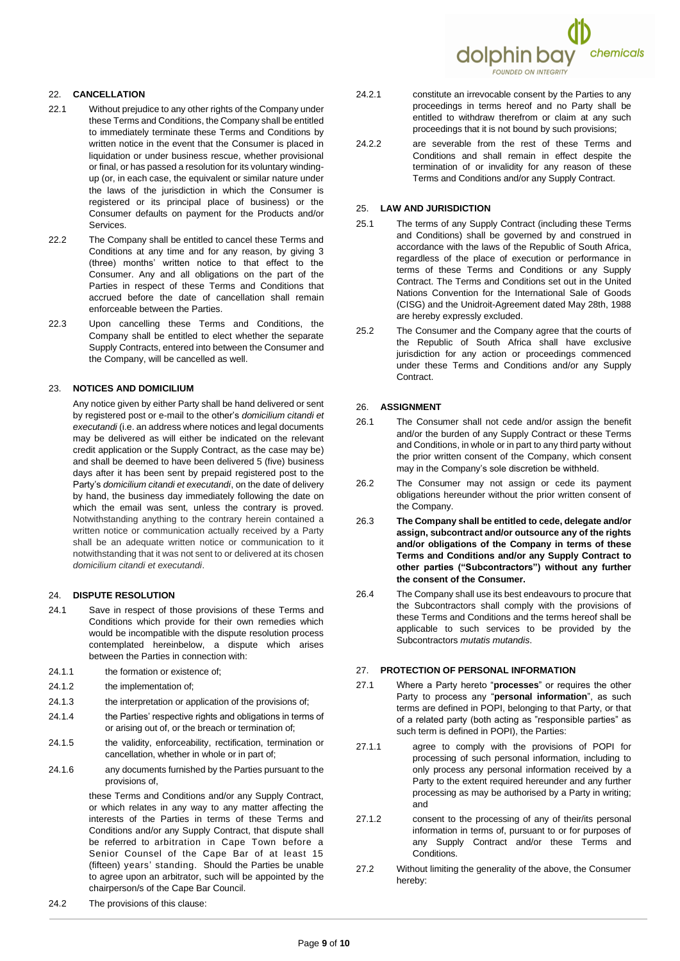

# 22. **CANCELLATION**

- 22.1 Without prejudice to any other rights of the Company under these Terms and Conditions, the Company shall be entitled to immediately terminate these Terms and Conditions by written notice in the event that the Consumer is placed in liquidation or under business rescue, whether provisional or final, or has passed a resolution for its voluntary windingup (or, in each case, the equivalent or similar nature under the laws of the jurisdiction in which the Consumer is registered or its principal place of business) or the Consumer defaults on payment for the Products and/or Services.
- 22.2 The Company shall be entitled to cancel these Terms and Conditions at any time and for any reason, by giving 3 (three) months' written notice to that effect to the Consumer. Any and all obligations on the part of the Parties in respect of these Terms and Conditions that accrued before the date of cancellation shall remain enforceable between the Parties.
- 22.3 Upon cancelling these Terms and Conditions, the Company shall be entitled to elect whether the separate Supply Contracts, entered into between the Consumer and the Company, will be cancelled as well.

#### 23. **NOTICES AND DOMICILIUM**

Any notice given by either Party shall be hand delivered or sent by registered post or e-mail to the other's *domicilium citandi et executandi* (i.e. an address where notices and legal documents may be delivered as will either be indicated on the relevant credit application or the Supply Contract, as the case may be) and shall be deemed to have been delivered 5 (five) business days after it has been sent by prepaid registered post to the Party's *domicilium citandi et executandi*, on the date of delivery by hand, the business day immediately following the date on which the email was sent, unless the contrary is proved. Notwithstanding anything to the contrary herein contained a written notice or communication actually received by a Party shall be an adequate written notice or communication to it notwithstanding that it was not sent to or delivered at its chosen *domicilium citandi et executandi*.

## 24. **DISPUTE RESOLUTION**

- 24.1 Save in respect of those provisions of these Terms and Conditions which provide for their own remedies which would be incompatible with the dispute resolution process contemplated hereinbelow, a dispute which arises between the Parties in connection with:
- 24.1.1 the formation or existence of
- 24.1.2 the implementation of;
- 24.1.3 the interpretation or application of the provisions of;
- 24.1.4 the Parties' respective rights and obligations in terms of or arising out of, or the breach or termination of;
- 24.1.5 the validity, enforceability, rectification, termination or cancellation, whether in whole or in part of;
- 24.1.6 any documents furnished by the Parties pursuant to the provisions of,

these Terms and Conditions and/or any Supply Contract, or which relates in any way to any matter affecting the interests of the Parties in terms of these Terms and Conditions and/or any Supply Contract, that dispute shall be referred to arbitration in Cape Town before a Senior Counsel of the Cape Bar of at least 15 (fifteen) years' standing. Should the Parties be unable to agree upon an arbitrator, such will be appointed by the chairperson/s of the Cape Bar Council.

24.2 The provisions of this clause:

- 24.2.1 constitute an irrevocable consent by the Parties to any proceedings in terms hereof and no Party shall be entitled to withdraw therefrom or claim at any such proceedings that it is not bound by such provisions;
- 24.2.2 are severable from the rest of these Terms and Conditions and shall remain in effect despite the termination of or invalidity for any reason of these Terms and Conditions and/or any Supply Contract.

## 25. **LAW AND JURISDICTION**

- 25.1 The terms of any Supply Contract (including these Terms and Conditions) shall be governed by and construed in accordance with the laws of the Republic of South Africa, regardless of the place of execution or performance in terms of these Terms and Conditions or any Supply Contract. The Terms and Conditions set out in the United Nations Convention for the International Sale of Goods (CISG) and the Unidroit-Agreement dated May 28th, 1988 are hereby expressly excluded.
- 25.2 The Consumer and the Company agree that the courts of the Republic of South Africa shall have exclusive jurisdiction for any action or proceedings commenced under these Terms and Conditions and/or any Supply Contract.

# 26. **ASSIGNMENT**

- 26.1 The Consumer shall not cede and/or assign the benefit and/or the burden of any Supply Contract or these Terms and Conditions, in whole or in part to any third party without the prior written consent of the Company, which consent may in the Company's sole discretion be withheld.
- 26.2 The Consumer may not assign or cede its payment obligations hereunder without the prior written consent of the Company.
- 26.3 **The Company shall be entitled to cede, delegate and/or assign, subcontract and/or outsource any of the rights and/or obligations of the Company in terms of these Terms and Conditions and/or any Supply Contract to other parties ("Subcontractors") without any further the consent of the Consumer.**
- 26.4 The Company shall use its best endeavours to procure that the Subcontractors shall comply with the provisions of these Terms and Conditions and the terms hereof shall be applicable to such services to be provided by the Subcontractors *mutatis mutandis*.

#### 27. **PROTECTION OF PERSONAL INFORMATION**

- 27.1 Where a Party hereto "**processes**" or requires the other Party to process any "**personal information**", as such terms are defined in POPI, belonging to that Party, or that of a related party (both acting as "responsible parties" as such term is defined in POPI), the Parties:
- 27.1.1 agree to comply with the provisions of POPI for processing of such personal information, including to only process any personal information received by a Party to the extent required hereunder and any further processing as may be authorised by a Party in writing; and
- 27.1.2 consent to the processing of any of their/its personal information in terms of, pursuant to or for purposes of any Supply Contract and/or these Terms and Conditions.
- 27.2 Without limiting the generality of the above, the Consumer hereby: